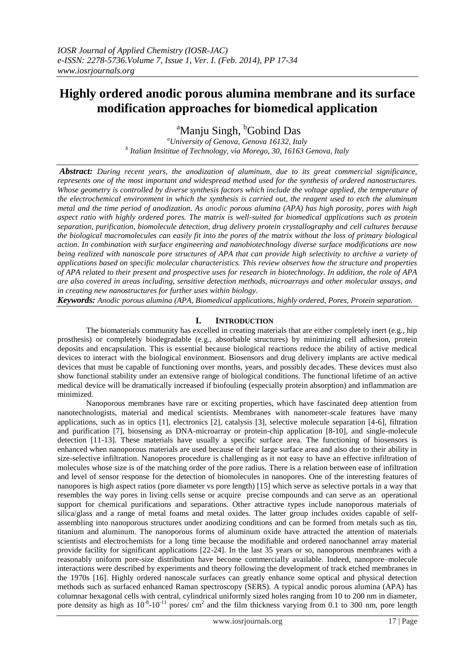l

# **Highly ordered anodic porous alumina membrane and its surface modification approaches for biomedical application**

<sup>a</sup>Manju Singh, <sup>b</sup>Gobind Das

*<sup>a</sup>University of Genova, Genova 16132, Italy b Italian Insititue of Technology, via Morego, 30, 16163 Genova, Italy*

*Abstract: During recent years, the anodization of aluminum, due to its great commercial significance, represents one of the most important and widespread method used for the synthesis of ordered nanostructures. Whose geometry is controlled by diverse synthesis factors which include the voltage applied, the temperature of the electrochemical environment in which the synthesis is carried out, the reagent used to etch the aluminum metal and the time period of anodization. As anodic porous alumina (APA) has high porosity, pores with high aspect ratio with highly ordered pores. The matrix is well-suited for biomedical applications such as protein separation, purification, biomolecule detection, drug delivery protein crystallography and cell cultures because the biological macromolecules can easily fit into the pores of the matrix without the loss of primary biological action. In combination with surface engineering and nanobiotechnology diverse surface modifications are now being realized with nanoscale pore structures of APA that can provide high selectivity to archive a variety of applications based on specific molecular characteristics. This review observes how the structure and properties of APA related to their present and prospective uses for research in biotechnology. In addition, the role of APA are also covered in areas including, sensitive detection methods, microarrays and other molecular assays, and in creating new nanostructures for further uses within biology.* 

*Keywords: Anodic porous alumina (APA, Biomedical applications, highly ordered, Pores, Protein separation.* 

# **I. INTRODUCTION**

The biomaterials community has excelled in creating materials that are either completely inert (e.g., hip prosthesis) or completely biodegradable (e.g., absorbable structures) by minimizing cell adhesion, protein deposits and encapsulation. This is essential because biological reactions reduce the ability of active medical devices to interact with the biological environment. Biosensors and drug delivery implants are active medical devices that must be capable of functioning over months, years, and possibly decades. These devices must also show functional stability under an extensive range of biological conditions. The functional lifetime of an active medical device will be dramatically increased if biofouling (especially protein absorption) and inflammation are minimized.

Nanoporous membranes have rare or exciting properties, which have fascinated deep attention from nanotechnologists, material and medical scientists. Membranes with nanometer-scale features have many applications, such as in optics [1], electronics [2], catalysis [3], selective molecule separation [4-6], filtration and purification [7], biosensing as DNA-microarray or protein-chip application [8-10], and single-molecule detection [11-13]. These materials have usually a specific surface area. The functioning of biosensors is enhanced when nanoporous materials are used because of their large surface area and also due to their ability in size-selective infiltration. Nanopores procedure is challenging as it not easy to have an effective infiltration of molecules whose size is of the matching order of the pore radius. There is a relation between ease of infiltration and level of sensor response for the detection of biomolecules in nanopores. One of the interesting features of nanopores is high aspect ratios (pore diameter vs pore length) [15] which serve as selective portals in a way that resembles the way pores in living cells sense or acquire precise compounds and can serve as an operational support for chemical purifications and separations. Other attractive types include nanoporous materials of silica/glass and a range of metal foams and metal oxides. The latter group includes oxides capable of selfassembling into nanoporous structures under anodizing conditions and can be formed from metals such as tin, titanium and aluminum. The nanoporous forms of aluminum oxide have attracted the attention of materials scientists and electrochemists for a long time because the modifiable and ordered nanochannel array material provide facility for significant applications [22-24]. In the last 35 years or so, nanoporous membranes with a reasonably uniform pore-size distribution have become commercially available. Indeed, nanopore–molecule interactions were described by experiments and theory following the development of track etched membranes in the 1970s [16]. Highly ordered nanoscale surfaces can greatly enhance some optical and physical detection methods such as surfaced enhanced Raman spectroscopy (SERS). A typical anodic porous alumina (APA) has columnar hexagonal cells with central, cylindrical uniformly sized holes ranging from 10 to 200 nm in diameter, pore density as high as  $10^{-8}$ - $10^{-11}$  pores/ cm<sup>2</sup> and the film thickness varying from 0.1 to 300 nm, pore length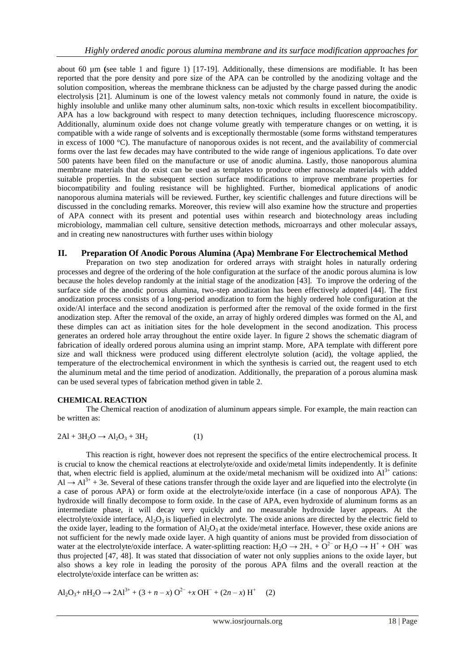about 60 µm **(**see table 1 and figure 1) [17-19]. Additionally, these dimensions are modifiable. It has been reported that the pore density and pore size of the APA can be controlled by the anodizing voltage and the solution composition, whereas the membrane thickness can be adjusted by the charge passed during the anodic electrolysis [21]. Aluminum is one of the lowest valency metals not commonly found in nature, the oxide is highly insoluble and unlike many other aluminum salts, non-toxic which results in excellent biocompatibility. APA has a low background with respect to many detection techniques, including fluorescence microscopy. Additionally, aluminum oxide does not change volume greatly with temperature changes or on wetting, it is compatible with a wide range of solvents and is exceptionally thermostable (some forms withstand temperatures in excess of 1000 °C). The manufacture of nanoporous oxides is not recent, and the availability of commercial forms over the last few decades may have contributed to the wide range of ingenious applications. To date over 500 patents have been filed on the manufacture or use of anodic alumina. Lastly, those nanoporous alumina membrane materials that do exist can be used as templates to produce other nanoscale materials with added suitable properties. In the subsequent section surface modifications to improve membrane properties for biocompatibility and fouling resistance will be highlighted. Further, biomedical applications of anodic nanoporous alumina materials will be reviewed. Further, key scientific challenges and future directions will be discussed in the concluding remarks. Moreover, this review will also examine how the structure and properties of APA connect with its present and potential uses within research and biotechnology areas including microbiology, mammalian cell culture, sensitive detection methods, microarrays and other molecular assays, and in creating new nanostructures with further uses within biology

#### **II. Preparation Of Anodic Porous Alumina (Apa) Membrane For Electrochemical Method**

Preparation on two step anodization for ordered arrays with straight holes in naturally ordering processes and degree of the ordering of the hole configuration at the surface of the anodic porous alumina is low because the holes develop randomly at the initial stage of the anodization [43]. To improve the ordering of the surface side of the anodic porous alumina, two-step anodization has been effectively adopted [44]. The first anodization process consists of a long-period anodization to form the highly ordered hole configuration at the oxide/Al interface and the second anodization is performed after the removal of the oxide formed in the first anodization step. After the removal of the oxide, an array of highly ordered dimples was formed on the Al, and these dimples can act as initiation sites for the hole development in the second anodization. This process generates an ordered hole array throughout the entire oxide layer. In figure 2 shows the schematic diagram of fabrication of ideally ordered porous alumina using an imprint stamp. More, APA template with different pore size and wall thickness were produced using different electrolyte solution (acid), the voltage applied, the temperature of the electrochemical environment in which the synthesis is carried out, the reagent used to etch the aluminum metal and the time period of anodization. Additionally, the preparation of a porous alumina mask can be used several types of fabrication method given in table 2.

#### **CHEMICAL REACTION**

The Chemical reaction of anodization of aluminum appears simple. For example, the main reaction can be written as:

$$
2\text{Al} + 3\text{H}_2\text{O} \rightarrow \text{Al}_2\text{O}_3 + 3\text{H}_2 \tag{1}
$$

This reaction is right, however does not represent the specifics of the entire electrochemical process. It is crucial to know the chemical reactions at electrolyte/oxide and oxide/metal limits independently. It is definite that, when electric field is applied, aluminum at the oxide/metal mechanism will be oxidized into  $Al^{3+}$  cations:  $Al \rightarrow Al^{3+} + 3e$ . Several of these cations transfer through the oxide layer and are liquefied into the electrolyte (in a case of porous APA) or form oxide at the electrolyte/oxide interface (in a case of nonporous APA). The hydroxide will finally decompose to form oxide. In the case of APA, even hydroxide of aluminum forms as an intermediate phase, it will decay very quickly and no measurable hydroxide layer appears. At the electrolyte/oxide interface,  $Al_2O_3$  is liquefied in electrolyte. The oxide anions are directed by the electric field to the oxide layer, leading to the formation of  $A_1O_3$  at the oxide/metal interface. However, these oxide anions are not sufficient for the newly made oxide layer. A high quantity of anions must be provided from dissociation of water at the electrolyte/oxide interface. A water-splitting reaction:  $H_2O \to 2H_+ + O^{2-}$  or  $H_2O \to H^+ + OH^-$  was thus projected [47, 48]. It was stated that dissociation of water not only supplies anions to the oxide layer, but also shows a key role in leading the porosity of the porous APA films and the overall reaction at the electrolyte/oxide interface can be written as:

$$
Al_2O_3 + nH_2O \rightarrow 2Al^{3+} + (3 + n - x) O^{2-} + x OH^- + (2n - x) H^+ \quad (2)
$$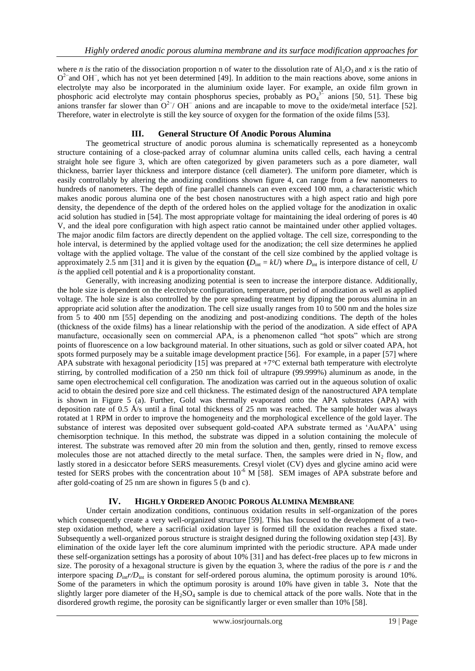where *n* is the ratio of the dissociation proportion n of water to the dissolution rate of  $A_1O_3$  and *x* is the ratio of O<sup>2−</sup>and OH<sup>−</sup>, which has not yet been determined [49]. In addition to the main reactions above, some anions in electrolyte may also be incorporated in the aluminium oxide layer. For example, an oxide film grown in phosphoric acid electrolyte may contain phosphorus species, probably as  $PO<sub>4</sub><sup>3−</sup>$  anions [50, 51]. These big anions transfer far slower than  $O^{2-}$ / OH<sup>-</sup> anions and are incapable to move to the oxide/metal interface [52]. Therefore, water in electrolyte is still the key source of oxygen for the formation of the oxide films [53].

#### **III. General Structure Of Anodic Porous Alumina**

The geometrical structure of anodic porous alumina is schematically represented as a honeycomb structure containing of a close-packed array of columnar alumina units called cells, each having a central straight hole see figure 3, which are often categorized by given parameters such as a pore diameter, wall thickness, barrier layer thickness and interpore distance (cell diameter). The uniform pore diameter, which is easily controllably by altering the anodizing conditions shown figure 4, can range from a few nanometers to hundreds of nanometers. The depth of fine parallel channels can even exceed 100 mm, a characteristic which makes anodic porous alumina one of the best chosen nanostructures with a high aspect ratio and high pore density, the dependence of the depth of the ordered holes on the applied voltage for the anodization in oxalic acid solution has studied in [54]. The most appropriate voltage for maintaining the ideal ordering of pores is 40 V, and the ideal pore configuration with high aspect ratio cannot be maintained under other applied voltages. The major anodic film factors are directly dependent on the applied voltage. The cell size, corresponding to the hole interval, is determined by the applied voltage used for the anodization; the cell size determines he applied voltage with the applied voltage. The value of the constant of the cell size combined by the applied voltage is approximately 2.5 nm [31] and it is given by the equation  $(D_{int} = kU)$  where  $D_{int}$  is interpore distance of cell, *U is* the applied cell potential and *k* is a proportionality constant.

Generally, with increasing anodizing potential is seen to increase the interpore distance. Additionally, the hole size is dependent on the electrolyte configuration, temperature, period of anodization as well as applied voltage. The hole size is also controlled by the pore spreading treatment by dipping the porous alumina in an appropriate acid solution after the anodization. The cell size usually ranges from 10 to 500 nm and the holes size from 5 to 400 nm [55] depending on the anodizing and post-anodizing conditions. The depth of the holes (thickness of the oxide films) has a linear relationship with the period of the anodization. A side effect of APA manufacture, occasionally seen on commercial APA, is a phenomenon called "hot spots" which are strong points of fluorescence on a low background material. In other situations, such as gold or silver coated APA, hot spots formed purposely may be a suitable image development practice [56]. For example, in a paper [57] where APA substrate with hexagonal periodicity [15] was prepared at  $+7^{\circ}$ C external bath temperature with electrolyte stirring, by controlled modification of a 250 nm thick foil of ultrapure (99.999%) aluminum as anode, in the same open electrochemical cell configuration. The anodization was carried out in the aqueous solution of oxalic acid to obtain the desired pore size and cell thickness. The estimated design of the nanostructured APA template is shown in Figure 5 (a). Further, Gold was thermally evaporated onto the APA substrates (APA) with deposition rate of 0.5 Å/s until a final total thickness of 25 nm was reached. The sample holder was always rotated at 1 RPM in order to improve the homogeneity and the morphological excellence of the gold layer. The substance of interest was deposited over subsequent gold-coated APA substrate termed as 'AuAPA' using chemisorption technique. In this method, the substrate was dipped in a solution containing the molecule of interest. The substrate was removed after 20 min from the solution and then, gently, rinsed to remove excess molecules those are not attached directly to the metal surface. Then, the samples were dried in  $N_2$  flow, and lastly stored in a desiccator before SERS measurements. Cresyl violet (CV) dyes and glycine amino acid were tested for SERS probes with the concentration about 10<sup>-6</sup> M [58]. SEM images of APA substrate before and after gold-coating of 25 nm are shown in figures 5 (b and c).

#### **IV. HIGHLY ORDERED ANO**D**IC POROUS ALUMINA MEMBRANE**

Under certain anodization conditions, continuous oxidation results in self-organization of the pores which consequently create a very well-organized structure [59]. This has focused to the development of a twostep oxidation method, where a sacrificial oxidation layer is formed till the oxidation reaches a fixed state. Subsequently a well-organized porous structure is straight designed during the following oxidation step [43]. By elimination of the oxide layer left the core aluminum imprinted with the periodic structure. APA made under these self-organization settings has a porosity of about 10% [31] and has defect-free places up to few microns in size. The porosity of a hexagonal structure is given by the equation 3, where the radius of the pore is *r* and the interpore spacing  $D_{\text{int}}r/D_{\text{int}}$  is constant for self-ordered porous alumina, the optimum porosity is around 10%. Some of the parameters in which the optimum porosity is around 10% have given in table 3**.** Note that the slightly larger pore diameter of the  $H_2SO_4$  sample is due to chemical attack of the pore walls. Note that in the disordered growth regime, the porosity can be significantly larger or even smaller than 10% [58].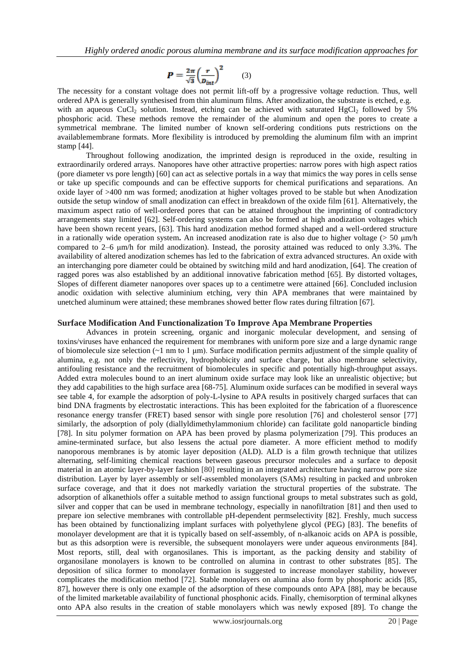$$
P = \frac{2\pi}{\sqrt{3}} \left(\frac{r}{D_{int}}\right)^2 \tag{3}
$$

The necessity for a constant voltage does not permit lift-off by a progressive voltage reduction. Thus, well ordered APA is generally synthesised from thin aluminum films. After anodization, the substrate is etched, e.g. with an aqueous CuCl<sub>2</sub> solution. Instead, etching can be achieved with saturated HgCl<sub>2</sub> followed by  $\overline{5}\%$ phosphoric acid. These methods remove the remainder of the aluminum and open the pores to create a symmetrical membrane. The limited number of known self-ordering conditions puts restrictions on the availablemembrane formats. More flexibility is introduced by premolding the aluminum film with an imprint stamp [44].

Throughout following anodization, the imprinted design is reproduced in the oxide, resulting in extraordinarily ordered arrays. Nanopores have other attractive properties: narrow pores with high aspect ratios (pore diameter vs pore length) [60] can act as selective portals in a way that mimics the way pores in cells sense or take up specific compounds and can be effective supports for chemical purifications and separations. An oxide layer of >400 nm was formed; anodization at higher voltages proved to be stable but when Anodization outside the setup window of small anodization can effect in breakdown of the oxide film [61]. Alternatively, the maximum aspect ratio of well-ordered pores that can be attained throughout the imprinting of contradictory arrangements stay limited [62]. Self-ordering systems can also be formed at high anodization voltages which have been shown recent years, [63]. This hard anodization method formed shaped and a well-ordered structure in a rationally wide operation system**.** An increased anodization rate is also due to higher voltage (> 50 μm/h compared to 2–6 μm/h for mild anodization). Instead, the porosity attained was reduced to only 3.3%. The availability of altered anodization schemes has led to the fabrication of extra advanced structures. An oxide with an interchanging pore diameter could be obtained by switching mild and hard anodization, [64]. The creation of ragged pores was also established by an additional innovative fabrication method [65]. By distorted voltages, Slopes of different diameter nanopores over spaces up to a centimetre were attained [66]. Concluded inclusion anodic oxidation with selective aluminium etching, very thin APA membranes that were maintained by unetched aluminum were attained; these membranes showed better flow rates during filtration [67].

#### **Surface Modification And Functionalization To Improve Apa Membrane Properties**

Advances in protein screening, organic and inorganic molecular development, and sensing of toxins/viruses have enhanced the requirement for membranes with uniform pore size and a large dynamic range of biomolecule size selection  $(-1 \text{ nm}$  to  $1 \mu\text{m})$ . Surface modification permits adjustment of the simple quality of alumina, e.g. not only the reflectivity, hydrophobicity and surface charge, but also membrane selectivity, antifouling resistance and the recruitment of biomolecules in specific and potentially high-throughput assays. Added extra molecules bound to an inert aluminum oxide surface may look like an unrealistic objective; but they add capabilities to the high surface area [68-75]. Aluminum oxide surfaces can be modified in several ways see table 4, for example the adsorption of poly-L-lysine to APA results in positively charged surfaces that can bind DNA fragments by electrostatic interactions. This has been exploited for the fabrication of a fluorescence resonance energy transfer (FRET) based sensor with single pore resolution [76] and cholesterol sensor [77] similarly, the adsorption of poly (diallyldimethylammonium chloride) can facilitate gold nanoparticle binding [78]. In situ polymer formation on APA has been proved by plasma polymerization [79]. This produces an amine-terminated surface, but also lessens the actual pore diameter. A more efficient method to modify nanoporous membranes is by atomic layer deposition (ALD). ALD is a film growth technique that utilizes alternating, self-limiting chemical reactions between gaseous precursor molecules and a surface to deposit material in an atomic layer-by-layer fashion [80] resulting in an integrated architecture having narrow pore size distribution. Layer by layer assembly or self-assembled monolayers (SAMs) resulting in packed and unbroken surface coverage, and that it does not markedly variation the structural properties of the substrate. The adsorption of alkanethiols offer a suitable method to assign functional groups to metal substrates such as gold, silver and copper that can be used in membrane technology, especially in nanofiltration [81] and then used to prepare ion selective membranes with controllable pH-dependent permselectivity [82]. Freshly, much success has been obtained by functionalizing implant surfaces with polyethylene glycol (PEG) [83]. The benefits of monolayer development are that it is typically based on self-assembly, of n-alkanoic acids on APA is possible, but as this adsorption were is reversible, the subsequent monolayers were under aqueous environments [84]. Most reports, still, deal with organosilanes. This is important, as the packing density and stability of organosilane monolayers is known to be controlled on alumina in contrast to other substrates [85]. The deposition of silica former to monolayer formation is suggested to increase monolayer stability, however complicates the modification method [72]. Stable monolayers on alumina also form by phosphoric acids [85, 87], however there is only one example of the adsorption of these compounds onto APA [88], may be because of the limited marketable availability of functional phosphonic acids. Finally, chemisorption of terminal alkynes onto APA also results in the creation of stable monolayers which was newly exposed [89]. To change the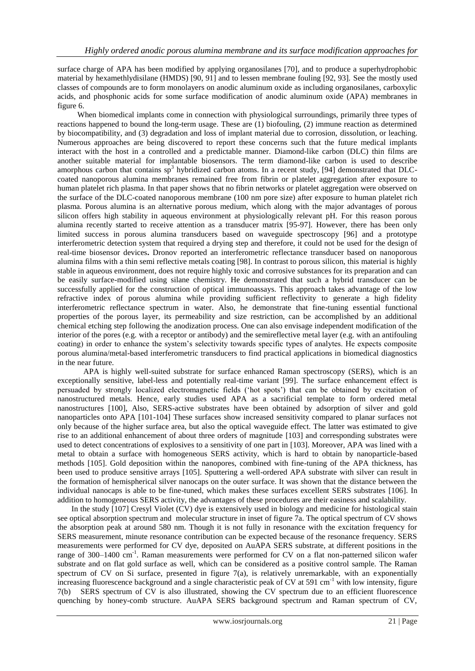surface charge of APA has been modified by applying organosilanes [70], and to produce a superhydrophobic material by hexamethlydisilane (HMDS) [90, 91] and to lessen membrane fouling [92, 93]. See the mostly used classes of compounds are to form monolayers on anodic aluminum oxide as including organosilanes, carboxylic acids, and phosphonic acids for some surface modification of anodic aluminum oxide (APA) membranes in figure 6.

 When biomedical implants come in connection with physiological surroundings, primarily three types of reactions happened to bound the long-term usage. These are (1) biofouling, (2) immune reaction as determined by biocompatibility, and (3) degradation and loss of implant material due to corrosion, dissolution, or leaching. Numerous approaches are being discovered to report these concerns such that the future medical implants interact with the host in a controlled and a predictable manner. Diamond-like carbon (DLC) thin films are another suitable material for implantable biosensors. The term diamond-like carbon is used to describe amorphous carbon that contains  $sp^3$  hybridized carbon atoms. In a recent study, [94] demonstrated that DLCcoated nanoporous alumina membranes remained free from fibrin or platelet aggregation after exposure to human platelet rich plasma. In that paper shows that no fibrin networks or platelet aggregation were observed on the surface of the DLC-coated nanoporous membrane (100 nm pore size) after exposure to human platelet rich plasma. Porous alumina is an alternative porous medium, which along with the major advantages of porous silicon offers high stability in aqueous environment at physiologically relevant pH. For this reason porous alumina recently started to receive attention as a transducer matrix [95-97]. However, there has been only limited success in porous alumina transducers based on waveguide spectroscopy [96] and a prototype interferometric detection system that required a drying step and therefore, it could not be used for the design of real-time biosensor devices**.** Dronov reported an interferometric reflectance transducer based on nanoporous alumina films with a thin semi reflective metals coating [98]. In contrast to porous silicon, this material is highly stable in aqueous environment, does not require highly toxic and corrosive substances for its preparation and can be easily surface-modified using silane chemistry. He demonstrated that such a hybrid transducer can be successfully applied for the construction of optical immunoassays. This approach takes advantage of the low refractive index of porous alumina while providing sufficient reflectivity to generate a high fidelity interferometric reflectance spectrum in water. Also, he demonstrate that fine-tuning essential functional properties of the porous layer, its permeability and size restriction, can be accomplished by an additional chemical etching step following the anodization process. One can also envisage independent modification of the interior of the pores (e.g. with a receptor or antibody) and the semireflective metal layer (e.g. with an antifouling coating) in order to enhance the system's selectivity towards specific types of analytes. He expects composite porous alumina/metal-based interferometric transducers to find practical applications in biomedical diagnostics in the near future.

 APA is highly well-suited substrate for surface enhanced Raman spectroscopy (SERS), which is an exceptionally sensitive, label-less and potentially real-time variant [99]. The surface enhancement effect is persuaded by strongly localized electromagnetic fields ('hot spots') that can be obtained by excitation of nanostructured metals. Hence, early studies used APA as a sacrificial template to form ordered metal nanostructures [100], Also, SERS-active substrates have been obtained by adsorption of silver and gold nanoparticles onto APA [101-104] These surfaces show increased sensitivity compared to planar surfaces not only because of the higher surface area, but also the optical waveguide effect. The latter was estimated to give rise to an additional enhancement of about three orders of magnitude [103] and corresponding substrates were used to detect concentrations of explosives to a sensitivity of one part in [103]. Moreover, APA was lined with a metal to obtain a surface with homogeneous SERS activity, which is hard to obtain by nanoparticle-based methods [105]. Gold deposition within the nanopores, combined with fine-tuning of the APA thickness, has been used to produce sensitive arrays [105]. Sputtering a well-ordered APA substrate with silver can result in the formation of hemispherical silver nanocaps on the outer surface. It was shown that the distance between the individual nanocaps is able to be fine-tuned, which makes these surfaces excellent SERS substrates [106]. In addition to homogeneous SERS activity, the advantages of these procedures are their easiness and scalability.

 In the study [107] Cresyl Violet (CV) dye is extensively used in biology and medicine for histological stain see optical absorption spectrum and molecular structure in inset of figure 7a. The optical spectrum of CV shows the absorption peak at around 580 nm. Though it is not fully in resonance with the excitation frequency for SERS measurement, minute resonance contribution can be expected because of the resonance frequency. SERS measurements were performed for CV dye, deposited on AuAPA SERS substrate, at different positions in the range of 300–1400 cm<sup>-1</sup>. Raman measurements were performed for CV on a flat non-patterned silicon wafer substrate and on flat gold surface as well, which can be considered as a positive control sample. The Raman spectrum of CV on Si surface, presented in figure 7(a), is relatively unremarkable, with an exponentially increasing fluorescence background and a single characteristic peak of CV at 591 cm<sup>-1</sup> with low intensity, figure 7(b) SERS spectrum of CV is also illustrated, showing the CV spectrum due to an efficient fluorescence quenching by honey-comb structure. AuAPA SERS background spectrum and Raman spectrum of CV,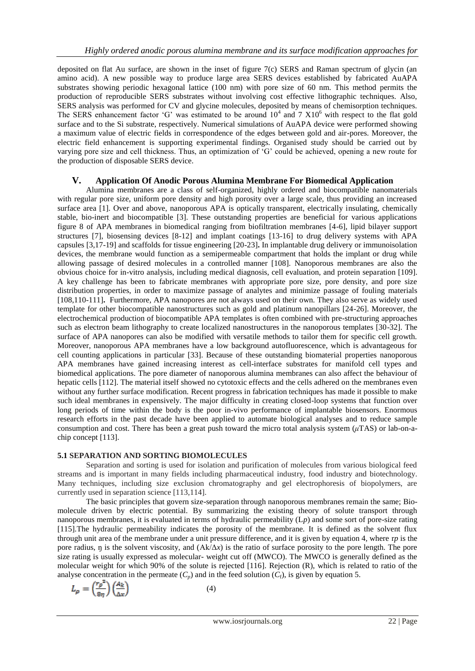deposited on flat Au surface, are shown in the inset of figure 7(c) SERS and Raman spectrum of glycin (an amino acid). A new possible way to produce large area SERS devices established by fabricated AuAPA substrates showing periodic hexagonal lattice (100 nm) with pore size of 60 nm. This method permits the production of reproducible SERS substrates without involving cost effective lithographic techniques. Also, SERS analysis was performed for CV and glycine molecules, deposited by means of chemisorption techniques. The SERS enhancement factor 'G' was estimated to be around  $10^4$  and 7  $X10^6$  with respect to the flat gold surface and to the Si substrate, respectively. Numerical simulations of AuAPA device were performed showing a maximum value of electric fields in correspondence of the edges between gold and air-pores. Moreover, the electric field enhancement is supporting experimental findings. Organised study should be carried out by varying pore size and cell thickness. Thus, an optimization of ‗G' could be achieved, opening a new route for the production of disposable SERS device.

# **V. Application Of Anodic Porous Alumina Membrane For Biomedical Application**

Alumina membranes are a class of self-organized, highly ordered and biocompatible nanomaterials with regular pore size, uniform pore density and high porosity over a large scale, thus providing an increased surface area [1]. Over and above, nanoporous APA is optically transparent, electrically insulating, chemically stable, bio-inert and biocompatible [3]. These outstanding properties are beneficial for various applications figure 8 of APA membranes in biomedical ranging from biofiltration membranes [4-6], lipid bilayer support structures [7], biosensing devices [8-12] and implant coatings [13-16] to drug delivery systems with APA capsules [3,17-19] and scaffolds for tissue engineering [20-23]**.** In implantable drug delivery or immunoisolation devices, the membrane would function as a semipermeable compartment that holds the implant or drug while allowing passage of desired molecules in a controlled manner [108]. Nanoporous membranes are also the obvious choice for in-vitro analysis, including medical diagnosis, cell evaluation, and protein separation [109]. A key challenge has been to fabricate membranes with appropriate pore size, pore density, and pore size distribution properties, in order to maximize passage of analytes and minimize passage of fouling materials [108,110-111]. Furthermore, APA nanopores are not always used on their own. They also serve as widely used template for other biocompatible nanostructures such as gold and platinum nanopillars [24-26]. Moreover, the electrochemical production of biocompatible APA templates is often combined with pre-structuring approaches such as electron beam lithography to create localized nanostructures in the nanoporous templates [30-32]. The surface of APA nanopores can also be modified with versatile methods to tailor them for specific cell growth. Moreover, nanoporous APA membranes have a low background autofluorescence, which is advantageous for cell counting applications in particular [33]. Because of these outstanding biomaterial properties nanoporous APA membranes have gained increasing interest as cell-interface substrates for manifold cell types and biomedical applications. The pore diameter of nanoporous alumina membranes can also affect the behaviour of hepatic cells [112]. The material itself showed no cytotoxic effects and the cells adhered on the membranes even without any further surface modification. Recent progress in fabrication techniques has made it possible to make such ideal membranes in expensively. The major difficulty in creating closed-loop systems that function over long periods of time within the body is the poor in-vivo performance of implantable biosensors. Enormous research efforts in the past decade have been applied to automate biological analyses and to reduce sample consumption and cost. There has been a great push toward the micro total analysis system (*μ*TAS) or lab-on-achip concept [113].

# **5.1 SEPARATION AND SORTING BIOMOLECULES**

Separation and sorting is used for isolation and purification of molecules from various biological feed streams and is important in many fields including pharmaceutical industry, food industry and biotechnology. Many techniques, including size exclusion chromatography and gel electrophoresis of biopolymers, are currently used in separation science [113,114].

The basic principles that govern size-separation through nanoporous membranes remain the same; Biomolecule driven by electric potential. By summarizing the existing theory of solute transport through nanoporous membranes, it is evaluated in terms of hydraulic permeability (L*p*) and some sort of pore-size rating [115].The hydraulic permeability indicates the porosity of the membrane. It is defined as the solvent flux through unit area of the membrane under a unit pressure difference, and it is given by equation 4, where r*p* is the pore radius,  $\eta$  is the solvent viscosity, and  $(Ak/\Delta x)$  is the ratio of surface porosity to the pore length. The pore size rating is usually expressed as molecular- weight cut off (MWCO). The MWCO is generally defined as the molecular weight for which 90% of the solute is rejected [116]. Rejection (R), which is related to ratio of the analyse concentration in the permeate  $(C_p)$  and in the feed solution  $(C_f)$ , is given by equation 5.

$$
L_{\rho} = \left(\frac{r_{\rho}^{2}}{8\eta}\right) \left(\frac{A_{k}}{\Delta x}\right) \tag{4}
$$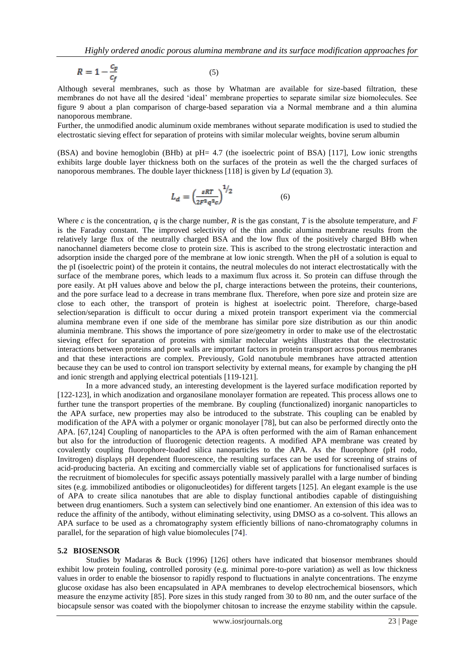$$
R = 1 - \frac{c_p}{c_f} \tag{5}
$$

Although several membranes, such as those by Whatman are available for size-based filtration, these membranes do not have all the desired 'ideal' membrane properties to separate similar size biomolecules. See figure 9 about a plan comparison of charge-based separation via a Normal membrane and a thin alumina nanoporous membrane.

Further, the unmodified anodic aluminum oxide membranes without separate modification is used to studied the electrostatic sieving effect for separation of proteins with similar molecular weights, bovine serum albumin

(BSA) and bovine hemoglobin (BHb) at pH= 4.7 (the isoelectric point of BSA) [117], Low ionic strengths exhibits large double layer thickness both on the surfaces of the protein as well the the charged surfaces of nanoporous membranes. The double layer thickness [118] is given by L*d* (equation 3).

$$
L_d = \left(\frac{\varepsilon RT}{2F^2q^2c}\right)^{1/2} \tag{6}
$$

Where *c* is the concentration, *q* is the charge number, *R* is the gas constant, *T* is the absolute temperature, and *F* is the Faraday constant. The improved selectivity of the thin anodic alumina membrane results from the relatively large flux of the neutrally charged BSA and the low flux of the positively charged BHb when nanochannel diameters become close to protein size. This is ascribed to the strong electrostatic interaction and adsorption inside the charged pore of the membrane at low ionic strength. When the pH of a solution is equal to the pI (isoelectric point) of the protein it contains, the neutral molecules do not interact electrostatically with the surface of the membrane pores, which leads to a maximum flux across it. So protein can diffuse through the pore easily. At pH values above and below the pI, charge interactions between the proteins, their counterions, and the pore surface lead to a decrease in trans membrane flux. Therefore, when pore size and protein size are close to each other, the transport of protein is highest at isoelectric point. Therefore, charge-based selection/separation is difficult to occur during a mixed protein transport experiment via the commercial alumina membrane even if one side of the membrane has similar pore size distribution as our thin anodic aluminia membrane. This shows the importance of pore size/geometry in order to make use of the electrostatic sieving effect for separation of proteins with similar molecular weights illustrates that the electrostatic interactions between proteins and pore walls are important factors in protein transport across porous membranes and that these interactions are complex. Previously, Gold nanotubule membranes have attracted attention because they can be used to control ion transport selectivity by external means, for example by changing the pH and ionic strength and applying electrical potentials [119-121].

In a more advanced study, an interesting development is the layered surface modification reported by [122-123], in which anodization and organosilane monolayer formation are repeated. This process allows one to further tune the transport properties of the membrane. By coupling (functionalized) inorganic nanoparticles to the APA surface, new properties may also be introduced to the substrate. This coupling can be enabled by modification of the APA with a polymer or organic monolayer [78], but can also be performed directly onto the APA. [67,124] Coupling of nanoparticles to the APA is often performed with the aim of Raman enhancement but also for the introduction of fluorogenic detection reagents. A modified APA membrane was created by covalently coupling fluorophore-loaded silica nanoparticles to the APA. As the fluorophore (pH rodo, Invitrogen) displays pH dependent fluorescence, the resulting surfaces can be used for screening of strains of acid-producing bacteria. An exciting and commercially viable set of applications for functionalised surfaces is the recruitment of biomolecules for specific assays potentially massively parallel with a large number of binding sites (e.g. immobilized antibodies or oligonucleotides) for different targets [125]. An elegant example is the use of APA to create silica nanotubes that are able to display functional antibodies capable of distinguishing between drug enantiomers. Such a system can selectively bind one enantiomer. An extension of this idea was to reduce the affinity of the antibody, without eliminating selectivity, using DMSO as a co-solvent. This allows an APA surface to be used as a chromatography system efficiently billions of nano-chromatography columns in parallel, for the separation of high value biomolecules [74].

#### **5.2 BIOSENSOR**

Studies by Madaras & Buck (1996) [126] others have indicated that biosensor membranes should exhibit low protein fouling, controlled porosity (e.g. minimal pore-to-pore variation) as well as low thickness values in order to enable the biosensor to rapidly respond to fluctuations in analyte concentrations. The enzyme glucose oxidase has also been encapsulated in APA membranes to develop electrochemical biosensors, which measure the enzyme activity [85]. Pore sizes in this study ranged from 30 to 80 nm, and the outer surface of the biocapsule sensor was coated with the biopolymer chitosan to increase the enzyme stability within the capsule.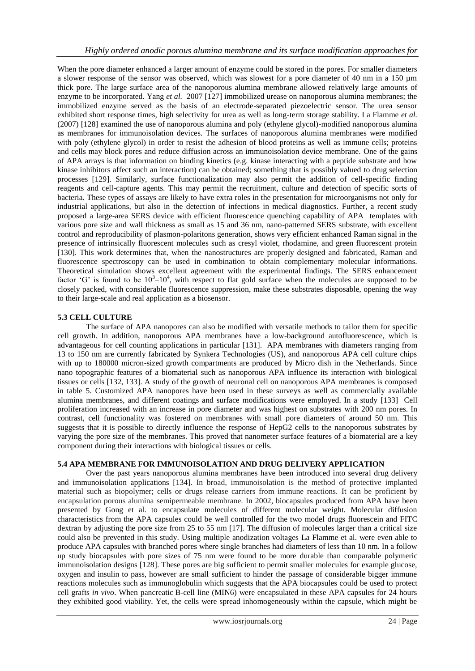When the pore diameter enhanced a larger amount of enzyme could be stored in the pores. For smaller diameters a slower response of the sensor was observed, which was slowest for a pore diameter of 40 nm in a 150 µm thick pore. The large surface area of the nanoporous alumina membrane allowed relatively large amounts of enzyme to be incorporated. Yang *et al.* 2007 [127] immobilized urease on nanoporous alumina membranes; the immobilized enzyme served as the basis of an electrode-separated piezoelectric sensor. The urea sensor exhibited short response times, high selectivity for urea as well as long-term storage stability. La Flamme *et al.*  (2007) [128] examined the use of nanoporous alumina and poly (ethylene glycol)-modified nanoporous alumina as membranes for immunoisolation devices. The surfaces of nanoporous alumina membranes were modified with poly (ethylene glycol) in order to resist the adhesion of blood proteins as well as immune cells; proteins and cells may block pores and reduce diffusion across an immunoisolation device membrane. One of the gains of APA arrays is that information on binding kinetics (e.g. kinase interacting with a peptide substrate and how kinase inhibitors affect such an interaction) can be obtained; something that is possibly valued to drug selection processes [129]. Similarly, surface functionalization may also permit the addition of cell-specific finding reagents and cell-capture agents. This may permit the recruitment, culture and detection of specific sorts of bacteria. These types of assays are likely to have extra roles in the presentation for microorganisms not only for industrial applications, but also in the detection of infections in medical diagnostics. Further, a recent study proposed a large-area SERS device with efficient fluorescence quenching capability of APA templates with various pore size and wall thickness as small as 15 and 36 nm, nano-patterned SERS substrate, with excellent control and reproducibility of plasmon-polaritons generation, shows very efficient enhanced Raman signal in the presence of intrinsically fluorescent molecules such as cresyl violet, rhodamine, and green fluorescent protein [130]. This work determines that, when the nanostructures are properly designed and fabricated, Raman and fluorescence spectroscopy can be used in combination to obtain complementary molecular informations. Theoretical simulation shows excellent agreement with the experimental findings. The SERS enhancement factor 'G' is found to be  $10^3 - 10^4$ , with respect to flat gold surface when the molecules are supposed to be closely packed, with considerable fluorescence suppression, make these substrates disposable, opening the way to their large-scale and real application as a biosensor.

# **5.3 CELL CULTURE**

The surface of APA nanopores can also be modified with versatile methods to tailor them for specific cell growth. In addition, nanoporous APA membranes have a low-background autofluorescence, which is advantageous for cell counting applications in particular [131]. APA membranes with diameters ranging from 13 to 150 nm are currently fabricated by Synkera Technologies (US), and nanoporous APA cell culture chips with up to 180000 micron-sized growth compartments are produced by Micro dish in the Netherlands. Since nano topographic features of a biomaterial such as nanoporous APA influence its interaction with biological tissues or cells [132, 133]. A study of the growth of neuronal cell on nanoporous APA membranes is composed in table 5. Customized APA nanopores have been used in these surveys as well as commercially available alumina membranes, and different coatings and surface modifications were employed. In a study [133] Cell proliferation increased with an increase in pore diameter and was highest on substrates with 200 nm pores. In contrast, cell functionality was fostered on membranes with small pore diameters of around 50 nm. This suggests that it is possible to directly influence the response of HepG2 cells to the nanoporous substrates by varying the pore size of the membranes. This proved that nanometer surface features of a biomaterial are a key component during their interactions with biological tissues or cells.

# **5.4 APA MEMBRANE FOR IMMUNOISOLATION AND DRUG DELIVERY APPLICATION**

Over the past years nanoporous alumina membranes have been introduced into several drug delivery and immunoisolation applications [134]. In broad, immunoisolation is the method of protective implanted material such as biopolymer; cells or drugs release carriers from immune reactions. It can be proficient by encapsulation porous alumina semipermeable membrane. In 2002, biocapsules produced from APA have been presented by Gong et al. to encapsulate molecules of different molecular weight. Molecular diffusion characteristics from the APA capsules could be well controlled for the two model drugs fluorescein and FITC dextran by adjusting the pore size from 25 to 55 nm [17]. The diffusion of molecules larger than a critical size could also be prevented in this study. Using multiple anodization voltages La Flamme et al. were even able to produce APA capsules with branched pores where single branches had diameters of less than 10 nm. In a follow up study biocapsules with pore sizes of 75 nm were found to be more durable than comparable polymeric immunoisolation designs [128]. These pores are big sufficient to permit smaller molecules for example glucose, oxygen and insulin to pass, however are small sufficient to hinder the passage of considerable bigger immune reactions molecules such as immunoglobulin which suggests that the APA biocapsules could be used to protect cell grafts *in vivo*. When pancreatic B-cell line (MIN6) were encapsulated in these APA capsules for 24 hours they exhibited good viability. Yet, the cells were spread inhomogeneously within the capsule, which might be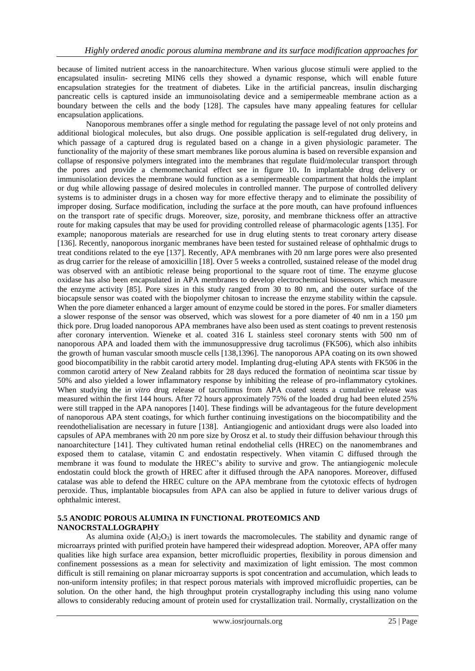because of limited nutrient access in the nanoarchitecture. When various glucose stimuli were applied to the encapsulated insulin- secreting MIN6 cells they showed a dynamic response, which will enable future encapsulation strategies for the treatment of diabetes. Like in the artificial pancreas, insulin discharging pancreatic cells is captured inside an immunoisolating device and a semipermeable membrane action as a boundary between the cells and the body [128]. The capsules have many appealing features for cellular encapsulation applications.

Nanoporous membranes offer a single method for regulating the passage level of not only proteins and additional biological molecules, but also drugs. One possible application is self-regulated drug delivery, in which passage of a captured drug is regulated based on a change in a given physiologic parameter. The functionality of the majority of these smart membranes like porous alumina is based on reversible expansion and collapse of responsive polymers integrated into the membranes that regulate fluid/molecular transport through the pores and provide a chemomechanical effect see in figure 10**.** In implantable drug delivery or immunisolation devices the membrane would function as a semipermeable compartment that holds the implant or dug while allowing passage of desired molecules in controlled manner. The purpose of controlled delivery systems is to administer drugs in a chosen way for more effective therapy and to eliminate the possibility of improper dosing. Surface modification, including the surface at the pore mouth, can have profound influences on the transport rate of specific drugs. Moreover, size, porosity, and membrane thickness offer an attractive route for making capsules that may be used for providing controlled release of pharmacologic agents [135]. For example; nanoporous materials are researched for use in drug eluting stents to treat coronary artery disease [136]. Recently, nanoporous inorganic membranes have been tested for sustained release of ophthalmic drugs to treat conditions related to the eye [137]. Recently, APA membranes with 20 nm large pores were also presented as drug carrier for the release of amoxicillin [18]. Over 5 weeks a controlled, sustained release of the model drug was observed with an antibiotic release being proportional to the square root of time. The enzyme glucose oxidase has also been encapsulated in APA membranes to develop electrochemical biosensors, which measure the enzyme activity [85]. Pore sizes in this study ranged from 30 to 80 nm, and the outer surface of the biocapsule sensor was coated with the biopolymer chitosan to increase the enzyme stability within the capsule. When the pore diameter enhanced a larger amount of enzyme could be stored in the pores. For smaller diameters a slower response of the sensor was observed, which was slowest for a pore diameter of 40 nm in a 150 µm thick pore. Drug loaded nanoporous APA membranes have also been used as stent coatings to prevent restenosis after coronary intervention. Wieneke et al. coated 316 L stainless steel coronary stents with 500 nm of nanoporous APA and loaded them with the immunosuppressive drug tacrolimus (FK506), which also inhibits the growth of human vascular smooth muscle cells [138,1396]. The nanoporous APA coating on its own showed good biocompatibility in the rabbit carotid artery model. Implanting drug-eluting APA stents with FK506 in the common carotid artery of New Zealand rabbits for 28 days reduced the formation of neointima scar tissue by 50% and also yielded a lower inflammatory response by inhibiting the release of pro-inflammatory cytokines. When studying the i*n vitro* drug release of tacrolimus from APA coated stents a cumulative release was measured within the first 144 hours. After 72 hours approximately 75% of the loaded drug had been eluted 25% were still trapped in the APA nanopores [140]. These findings will be advantageous for the future development of nanoporous APA stent coatings, for which further continuing investigations on the biocompatibility and the reendothelialisation are necessary in future [138]. Antiangiogenic and antioxidant drugs were also loaded into capsules of APA membranes with 20 nm pore size by Orosz et al. to study their diffusion behaviour through this nanoarchitecture [141]. They cultivated human retinal endothelial cells (HREC) on the nanomembranes and exposed them to catalase, vitamin C and endostatin respectively. When vitamin C diffused through the membrane it was found to modulate the HREC's ability to survive and grow. The antiangiogenic molecule endostatin could block the growth of HREC after it diffused through the APA nanopores. Moreover, diffused catalase was able to defend the HREC culture on the APA membrane from the cytotoxic effects of hydrogen peroxide. Thus, implantable biocapsules from APA can also be applied in future to deliver various drugs of ophthalmic interest.

#### **5.5 ANODIC POROUS ALUMINA IN FUNCTIONAL PROTEOMICS AND NANOCRSTALLOGRAPHY**

As alumina oxide  $(Al_2O_3)$  is inert towards the macromolecules. The stability and dynamic range of microarrays printed with purified protein have hampered their widespread adoption. Moreover, APA offer many qualities like high surface area expansion, better microfluidic properties, flexibility in porous dimension and confinement possessions as a mean for selectivity and maximization of light emission. The most common difficult is still remaining on planar microarray supports is spot concentration and accumulation, which leads to non-uniform intensity profiles; in that respect porous materials with improved microfluidic properties, can be solution. On the other hand, the high throughput protein crystallography including this using nano volume allows to considerably reducing amount of protein used for crystallization trail. Normally, crystallization on the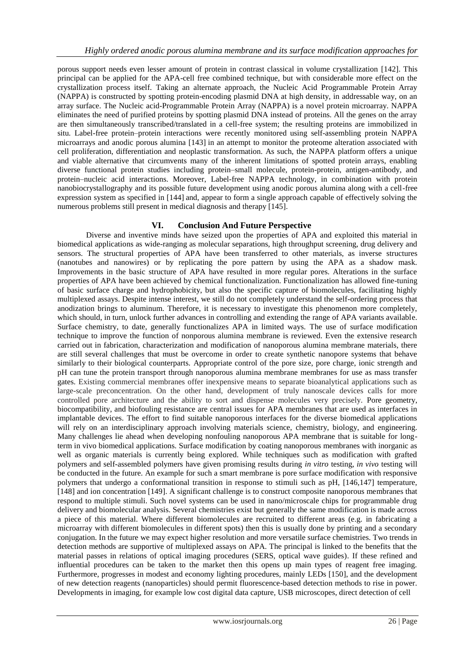porous support needs even lesser amount of protein in contrast classical in volume crystallization [142]. This principal can be applied for the APA-cell free combined technique, but with considerable more effect on the crystallization process itself. Taking an alternate approach, the Nucleic Acid Programmable Protein Array (NAPPA) is constructed by spotting protein-encoding plasmid DNA at high density, in addressable way, on an array surface. The Nucleic acid-Programmable Protein Array (NAPPA) is a novel protein microarray. NAPPA eliminates the need of purified proteins by spotting plasmid DNA instead of proteins. All the genes on the array are then simultaneously transcribed/translated in a cell-free system; the resulting proteins are immobilized in situ. Label-free protein–protein interactions were recently monitored using self-assembling protein NAPPA microarrays and anodic porous alumina [143] in an attempt to monitor the proteome alteration associated with cell proliferation, differentiation and neoplastic transformation. As such, the NAPPA platform offers a unique and viable alternative that circumvents many of the inherent limitations of spotted protein arrays, enabling diverse functional protein studies including protein–small molecule, protein-protein, antigen-antibody, and protein–nucleic acid interactions. Moreover, Label-free NAPPA technology, in combination with protein nanobiocrystallography and its possible future development using anodic porous alumina along with a cell-free expression system as specified in [144] and, appear to form a single approach capable of effectively solving the numerous problems still present in medical diagnosis and therapy [145].

# **VI. Conclusion And Future Perspective**

Diverse and inventive minds have seized upon the properties of APA and exploited this material in biomedical applications as wide-ranging as molecular separations, high throughput screening, drug delivery and sensors. The structural properties of APA have been transferred to other materials, as inverse structures (nanotubes and nanowires) or by replicating the pore pattern by using the APA as a shadow mask. Improvements in the basic structure of APA have resulted in more regular pores. Alterations in the surface properties of APA have been achieved by chemical functionalization. Functionalization has allowed fine-tuning of basic surface charge and hydrophobicity, but also the specific capture of biomolecules, facilitating highly multiplexed assays. Despite intense interest, we still do not completely understand the self-ordering process that anodization brings to aluminum. Therefore, it is necessary to investigate this phenomenon more completely, which should, in turn, unlock further advances in controlling and extending the range of APA variants available. Surface chemistry, to date, generally functionalizes APA in limited ways. The use of surface modification technique to improve the function of nonporous alumina membrane is reviewed. Even the extensive research carried out in fabrication, characterization and modification of nanoporous alumina membrane materials, there are still several challenges that must be overcome in order to create synthetic nanopore systems that behave similarly to their biological counterparts. Appropriate control of the pore size, pore charge, ionic strength and pH can tune the protein transport through nanoporous alumina membrane membranes for use as mass transfer gates. Existing commercial membranes offer inexpensive means to separate bioanalytical applications such as large-scale preconcentration. On the other hand, development of truly nanoscale devices calls for more controlled pore architecture and the ability to sort and dispense molecules very precisely. Pore geometry, biocompatibility, and biofouling resistance are central issues for APA membranes that are used as interfaces in implantable devices. The effort to find suitable nanoporous interfaces for the diverse biomedical applications will rely on an interdisciplinary approach involving materials science, chemistry, biology, and engineering. Many challenges lie ahead when developing nonfouling nanoporous APA membrane that is suitable for longterm in vivo biomedical applications. Surface modification by coating nanoporous membranes with inorganic as well as organic materials is currently being explored. While techniques such as modification with grafted polymers and self-assembled polymers have given promising results during *in vitro* testing, *in vivo* testing will be conducted in the future. An example for such a smart membrane is pore surface modification with responsive polymers that undergo a conformational transition in response to stimuli such as pH, [146,147] temperature, [148] and ion concentration [149]. A significant challenge is to construct composite nanoporous membranes that respond to multiple stimuli. Such novel systems can be used in nano/microscale chips for programmable drug delivery and biomolecular analysis. Several chemistries exist but generally the same modification is made across a piece of this material. Where different biomolecules are recruited to different areas (e.g. in fabricating a microarray with different biomolecules in different spots) then this is usually done by printing and a secondary conjugation. In the future we may expect higher resolution and more versatile surface chemistries. Two trends in detection methods are supportive of multiplexed assays on APA. The principal is linked to the benefits that the material passes in relations of optical imaging procedures (SERS, optical wave guides). If these refined and influential procedures can be taken to the market then this opens up main types of reagent free imaging. Furthermore, progresses in modest and economy lighting procedures, mainly LEDs [150], and the development of new detection reagents (nanoparticles) should permit fluorescence-based detection methods to rise in power. Developments in imaging, for example low cost digital data capture, USB microscopes, direct detection of cell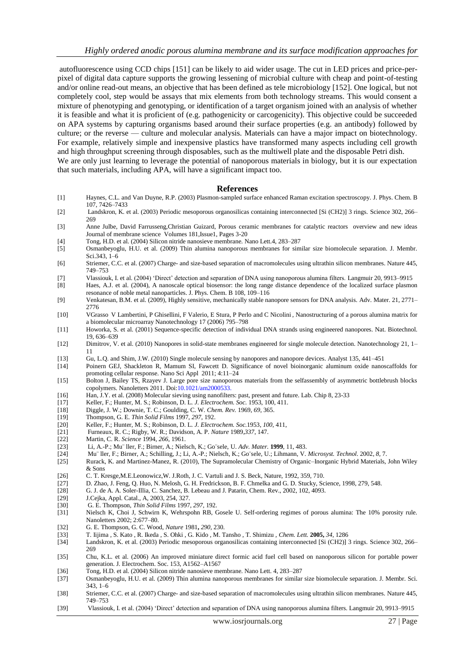autofluorescence using CCD chips [151] can be likely to aid wider usage. The cut in LED prices and price-perpixel of digital data capture supports the growing lessening of microbial culture with cheap and point-of-testing and/or online read-out means, an objective that has been defined as tele microbiology [152]. One logical, but not completely cool, step would be assays that mix elements from both technology streams. This would consent a mixture of phenotyping and genotyping, or identification of a target organism joined with an analysis of whether it is feasible and what it is proficient of (e.g. pathogenicity or carcogenicity). This objective could be succeeded on APA systems by capturing organisms based around their surface properties (e.g. an antibody) followed by culture; or the reverse — culture and molecular analysis. Materials can have a major impact on biotechnology. For example, relatively simple and inexpensive plastics have transformed many aspects including cell growth and high throughput screening through disposables, such as the multiwell plate and the disposable Petri dish. We are only just learning to leverage the potential of nanoporous materials in biology, but it is our expectation that such materials, including APA, will have a significant impact too.

#### **References**

- [1] Haynes, C.L. and Van Duyne, R.P. (2003) Plasmon-sampled surface enhanced Raman excitation spectroscopy. J. Phys. Chem. B 107, 7426–7433
- [2] Landskron, K. et al. (2003) Periodic mesoporous organosilicas containing interconnected [Si (CH2)] 3 rings. Science 302, 266– 269
- [3] Anne Julbe, David Farrusseng,Christian Guizard, Porous ceramic membranes for catalytic reactors overview and new ideas Journal of membrane science Volumes 181,Issue1, Pages 3-20
- [4] Tong, H.D. et al. (2004) Silicon nitride nanosieve membrane. Nano Lett.4, 283–287
- [5] Osmanbeyoglu, H.U. et al. (2009) Thin alumina nanoporous membranes for similar size biomolecule separation. J. Membr. Sci.343, 1–6
- [6] Striemer, C.C. et al. (2007) Charge- and size-based separation of macromolecules using ultrathin silicon membranes. Nature 445, 749–753
- [7] Vlassiouk, I. et al. (2004) ‗Direct' detection and separation of DNA using nanoporous alumina filters. Langmuir 20, 9913–9915 [8] Haes, A.J. et al. (2004), A nanoscale optical biosensor: the long range distance dependence of the localized surface plasmon
	- resonance of noble metal nanoparticles. J. Phys. Chem. B 108, 109–116
- [9] Venkatesan, B.M. et al. (2009), Highly sensitive, mechanically stable nanopore sensors for DNA analysis. Adv. Mater. 21, 2771– 2776
- [10] VGrasso V Lambertini, P Ghisellini, F Valerio, E Stura, P Perlo and C Nicolini , Nanostructuring of a porous alumina matrix for a biomolecular microarray Nanotechnology 17 (2006) 795–798
- [11] Howorka, S. et al. (2001) Sequence-specific detection of individual DNA strands using engineered nanopores. Nat. Biotechnol. 19, 636–639
- [12] Dimitrov, V. et al. (2010) Nanopores in solid-state membranes engineered for single molecule detection. Nanotechnology 21, 1– 11
- [13] Gu, L.Q. and Shim, J.W. (2010) Single molecule sensing by nanopores and nanopore devices. Analyst 135, 441–451
- [14] Poinern GEJ, Shackleton R, Mamum SI, Fawcett D. Significance of novel bioinorganic aluminum oxide nanoscaffolds for promoting cellular response. Nano Sci Appl 2011; 4:11–24
- [15] Bolton J, Bailey TS, Rzayev J. Large pore size nanoporous materials from the selfassembly of asymmetric bottlebrush blocks copolymers. Nanoletters 2011. Doi:10.1021/am2000533.
- [16] Han, J.Y. et al. (2008) Molecular sieving using nanofilters: past, present and future. Lab. Chip 8, 23-33
- [17] Keller, F.; Hunter, M. S.; Robinson, D. L. *J. Electrochem. Soc.* 1953, 100, 411.
- [18] Diggle, J. W.; Downie, T. C.; Goulding, C. W. *Chem. Rev.* 1969, *69*, 365.
- 
- [19] Thompson, G. E. *Thin Solid Films* 1997, *297*, 192. [20] Keller, F.; Hunter, M. S.; Robinson, D. L. *J. Electrochem. Soc.*1953, *100*, 411,
- [21] Furneaux, R. C.; Rigby, W. R.; Davidson, A. P. *Nature* 1989,*337*, 147.
- [22] Martin, C. R. *Science* 1994, *266*, 1961.
- [23] Li, A.-P.; Mu¨ ller, F.; Birner, A.; Nielsch, K.; Go¨sele, U. *Adv. Mater.* **1999**, 11, 483.
- [24] Mu¨ ller, F.; Birner, A.; Schilling, J.; Li, A.-P.; Nielsch, K.; Go¨sele, U.; Lihmann, V. *Microsyst. Technol.* 2002, *8*, 7.
- [25] Rurack, K. and Martinez-Manez, R. (2010), The Supramolecular Chemistry of Organic–Inorganic Hybrid Materials, John Wiley & Sons
- [26] C. T. Kresge,M.E.Leonowicz,W. J.Roth, J. C. Vartuli and J. S. Beck, Nature, 1992, 359, 710.<br>[27] D. Zhao, J. Feng, Q. Huo, N. Melosh, G. H. Fredrickson, B. F. Chmelka and G. D. Stucky, Sc
- D. Zhao, J. Feng, Q. Huo, N. Melosh, G. H. Fredrickson, B. F. Chmelka and G. D. Stucky, Science, 1998, 279, 548.
- [28] G. J. de A. A. Soler-Illia, C. Sanchez, B. Lebeau and J. Patarin, Chem. Rev., 2002, 102, 4093.
- [29] J.Cejka, Appl. Catal., A, 2003, 254, 327.<br>[30] G. E. Thompson, *Thin Solid Films* 1997
- [30] G. E. Thompson, *Thin Solid Films* 1997, *297,* 192.
- [31] Nielsch K, Choi J, Schwirn K, Wehrspohn RB, Gosele U. Self-ordering regimes of porous alumina: The 10% porosity rule. Nanoletters 2002; 2:677–80.
- 
- [32] G. E. Thompson, G. C. Wood, *Nature* 1981**,** *290,* 230. [33] T. Iijima , S. Kato , R. Ikeda , S. Ohki , G. Kido , M. Tansho , T. Shimizu , *Chem. Lett.* **2005,** *34,* 1286
- [34] Landskron, K. et al. (2003) Periodic mesoporous organosilicas containing interconnected [Si (CH2)] 3 rings. Science 302, 266– 269 [35] Chu, K.L. et al. (2006) An improved miniature direct formic acid fuel cell based on nanoporous silicon for portable power
- generation. J. Electrochem. Soc. 153, A1562–A1567
- [36] Tong, H.D. et al. (2004) Silicon nitride nanosieve membrane. Nano Lett. 4, 283–287
- [37] Osmanbeyoglu, H.U. et al. (2009) Thin alumina nanoporous membranes for similar size biomolecule separation. J. Membr. Sci. 343, 1–6
- [38] Striemer, C.C. et al. (2007) Charge- and size-based separation of macromolecules using ultrathin silicon membranes. Nature 445, 749–753
- [39] Vlassiouk, I. et al. (2004) ‗Direct' detection and separation of DNA using nanoporous alumina filters. Langmuir 20, 9913–9915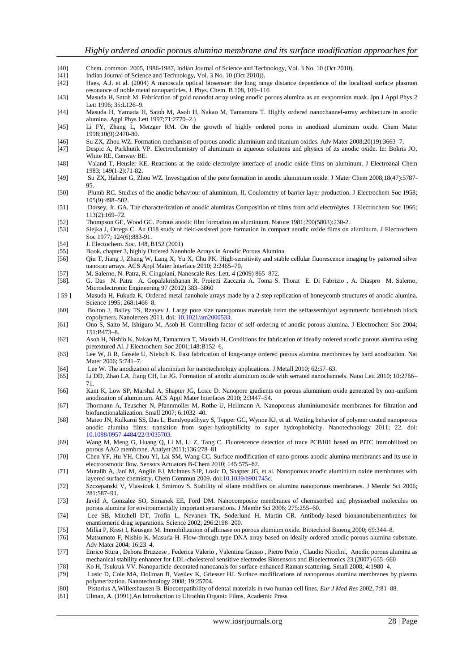- [40] Chem. common 2005, 1986-1987, Indian Journal of Science and Technology, Vol. 3 No. 10 (Oct 2010). [41] Indian Journal of Science and Technology, Vol. 3 No. 10 (Oct 2010)).<br>[42] Haes, A.J. et al. (2004) A nanoscale optical biosensor: the long rar Haes, A.J. et al. (2004) A nanoscale optical biosensor: the long range distance dependence of the localized surface plasmon resonance of noble metal nanoparticles. J. Phys. Chem. B 108, 109–116 [43] Masuda H, Satoh M. Fabrication of gold nanodot array using anodic porous alumina as an evaporation mask. Jpn J Appl Phys 2 Lett 1996; 35:L126–9. [44] Masuda H, Yamada H, Satoh M, Asoh H, Nakao M, Tamamura T. Highly ordered nanochannel-array architecture in anodic alumina. Appl Phys Lett 1997;71:2770–2.) [45] Li FY, Zhang L, Metzger RM. On the growth of highly ordered pores in anodized aluminum oxide. Chem Mater 1998;10(9):2470-80. [46] Su ZX, Zhou WZ. Formation mechanism of porous anodic aluminium and titanium oxides. Adv Mater 2008;20(19):3663–7. [47] Despic A, Parkhutik VP. Electrochemistry of aluminum in aqueous solutions and physics of its anodic oxide. In: Bokris JO, White RE, Conway BE. [48] Valand T, Heusler KE. Reactions at the oxide-electrolyte interface of anodic oxide films on aluminum. J Electroanal Chem 1983; 149(1-2):71-82. [49] Su ZX, Hahner G, Zhou WZ. Investigation of the pore formation in anodic aluminium oxide. J Mater Chem 2008;18(47):5787-
- 95. [50] Plumb RC. Studies of the anodic behaviour of aluminium. II. Coulometry of barrier layer production. J Electrochem Soc 1958; 105(9):498–502.
- [51] Dorsey, Jr. GA. The characterization of anodic aluminas Composition of films from acid electrolytes. J Electrochem Soc 1966; 113(2):169–72.
- 
- [52] Thompson GE, Wood GC. Porous anodic film formation on aluminium. Nature 1981;290(5803):230-2. [53] Siejka J, Ortega C. An O18 study of field-assisted pore formation in compact anodic oxide films on aluminum. J Electrochem Soc 1977; 124(6):883-91.
- [54] J. Electochem. Soc. 148, B152 (2001)<br>[55] Book chapter 3 highly Ordered Nanc
- [55] Book, chapter 3, highly Ordered Nanohole Arrays in Anodic Porous Alumina.<br>[56] Oju T, Jiang J, Zhang W, Lang X, Yu X, Chu PK. High-sensitivity and stable
- [56] Qiu T, Jiang J, Zhang W, Lang X, Yu X, Chu PK. High-sensitivity and stable cellular fluorescence imaging by patterned silver nanocap arrays. ACS Appl Mater Interface 2010; 2:2465–70.
- [57] M. Salerno, N. Patra, R. Cingolani, Nanoscale Res. Lett. 4 (2009) 865–872.
- [58]. G. Das N. Patra A. Gopalakrishanan R. Proietti Zaccaria A. Toma S. Thorat E. Di Fabrizio , A. Diaspro M. Salerno, Microelectronic Engineering 97 (2012) 383–3860
- [ 59 ] Masuda H, Fukuda K. Ordered metal nanohole arrays made by a 2-step replication of honeycomb structures of anodic alumina. Science 1995; 268:1466–8.
- [60] Bolton J, Bailey TS, Rzayev J. Large pore size nanoporous materials from the selfassemblyof asymmetric bottlebrush block copolymers. Nanoletters 2011. doi: 10.1021/am2000533.
- [61] Ono S, Saito M, Ishiguro M, Asoh H. Controlling factor of self-ordering of anodic porous alumina. J Electrochem Soc 2004; 151:B473–8.
- [62] Asoh H, Nishio K, Nakao M, Tamamura T, Masuda H. Conditions for fabrication of ideally ordered anodic porous alumina using pretextured Al. J Electrochem Soc 2001;148:B152–6.
- [63] Lee W, Ji R, Gosele U, Nielsch K. Fast fabrication of long-range ordered porous alumina membranes by hard anodization. Nat Mater 2006; 5:741–7.
- [64] Lee W. The anodization of aluminium for nanotechnology applications. J Metall 2010; 62:57–63.
- [65] Li DD, Zhao LA, Jiang CH, Lu JG. Formation of anodic aluminum oxide with serrated nanochannels. Nano Lett 2010; 10:2766– 71.
- [66] Kant K, Low SP, Marshal A, Shapter JG, Losic D. Nanopore gradients on porous aluminium oxide generated by non-uniform anodization of aluminium. ACS Appl Mater Interfaces 2010; 2:3447–54.
- [67] Thormann A, Teuscher N, Pfannmoller M, Rothe U, Heilmann A. Nanoporous aluminiumoxide membranes for filtration and biofunctionalalization. Small 2007; 6:1032–40.
- [68] Mateo JN, Kulkarni SS, Das L, Bandyopadhyay S, Tepper GC, Wynne KJ, et al. Wetting behavior of polymer coated nanoporous anodic alumina films: transition from super-hydrophilicity to super hydrophobicity. Nanotechnology 2011; 22. doi: 10.1088/0957-4484/22/3/035703.
- [69] Wang M, Meng G, Huang Q, Li M, Li Z, Tang C. Fluorescence detection of trace PCB101 based on PITC immobilized on porous AAO membrane. Analyst 2011;136:278–81
- [70] Chen YF, Hu YH, Chou YI, Lai SM, Wang CC. Surface modification of nano-porous anodic alumina membranes and its use in electroosmotic flow. Sensors Actuators B-Chem 2010; 145:575–82.
- [71] Mutalib A, Jani M, Anglin EJ, McInnes SJP, Losic D, Shapter JG, et al. Nanoporous anodic aluminium oxide membranes with layered surface chemistry. Chem Commun 2009. doi:10.1039/b901745c.
- [72] Szczepanski V, Vlassiouk I, Smirnov S. Stability of silane modifiers on alumina nanoporous membranes. J Membr Sci 2006; 281:587–91.
- [73] Javid A, Gonzalez SO, Simanek EE, Ford DM. Nanocomposite membranes of chemisorbed and physisorbed molecules on porous alumina for environmentally important separations. J Membr Sci 2006; 275:255–60.
- [74] Lee SB, Mitchell DT, Trofin L, Nevanen TK, Soderlund H, Martin CR. Antibody-based bionanotubemembranes for enantiomeric drug separations. Science 2002; 296:2198–200.
- [75] Milka P, Krest I, Keusgen M. Immobilization of alliinase on porous alumium oxide. Biotechnol Bioeng 2000; 69:344–8.
- Matsumoto F, Nishio K, Masuda H. Flow-through-type DNA array based on ideally ordered anodic porous alumina substrate. Adv Mater 2004; 16:23–4.
- [77] Enrico Stura , Debora Bruzzese , Federica Valerio , Valentina Grasso , Pietro Perlo , Claudio Nicolini, Anodic porous alumina as mechanical stability enhancer for LDL-cholesterol sensitive electrodes Biosensors and Bioelectronics 23 (2007) 655–660
- [78] Ko H, Tsukruk VV. Nanoparticle-decorated nanocanals for surface-enhanced Raman scattering. Small 2008; 4:1980–4.
- [79] Losic D, Cole MA, Dollman B, Vasilev K, Griesser HJ. Surface modifications of nanoporous alumina membranes by plasma polymerization. Nanotechnology 2008; 19:25704.
- [80] Pistorius A,Willershausen B. Biocompatibility of dental materials in two human cell lines. *Eur J Med Res* 2002, 7:81–88.
- Ulman, A. (1991),An Introduction to Ultrathin Organic Films, Academic Press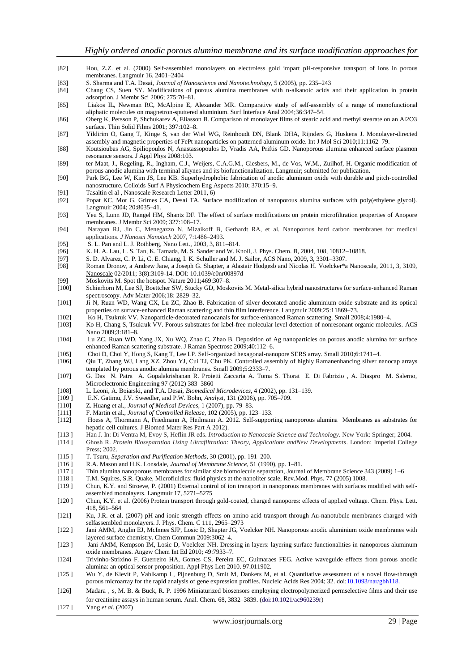- [82] Hou, Z.Z. et al. (2000) Self-assembled monolayers on electroless gold impart pH-responsive transport of ions in porous membranes. Langmuir 16, 2401–2404
- [83] S. Sharma and T.A. Desai, *Journal of Nanoscience and Nanotechnology,* 5 (2005), pp. 235–243
- Chang CS, Suen SY. Modifications of porous alumina membranes with n-alkanoic acids and their application in protein adsorption. J Membr Sci 2006; 275:70–81.
- [85] Liakos IL, Newman RC, McAlpine E, Alexander MR. Comparative study of self-assembly of a range of monofunctional aliphatic molecules on magnetron-sputtered aluminium. Surf Interface Anal 2004;36:347–54.
- [86] Oberg K, Persson P, Shchukarev A, Eliasson B. Comparison of monolayer films of stearic acid and methyl stearate on an Al2O3 surface. Thin Solid Films 2001; 397:102–8.
- [87] Yildirim O, Gang T, Kinge S, van der Wiel WG, Reinhoudt DN, Blank DHA, Rijnders G, Huskens J. Monolayer-directed assembly and magnetic properties of FePt nanoparticles on patterned aluminum oxide. Int J Mol Sci 2010;11:1162–79.
- [88] Koutsioubas AG, Spiliopoulos N, Anastassopoulos D, Vradis AA, Priftis GD. Nanoporous alumina enhanced surface plasmon resonance sensors. J Appl Phys 2008:103.
- [89] ter Maat, J., Regeling, R., Ingham, C.J., Weijers, C.A.G.M., Giesbers, M., de Vos, W.M., Zuilhof, H. Organic modification of porous anodic alumina with terminal alkynes and its biofunctionalization. Langmuir; submitted for publication.
- [90] Park BG, Lee W, Kim JS, Lee KB. Superhydrophobic fabrication of anodic aluminum oxide with durable and pitch-controlled nanostructure. Colloids Surf A Physicochem Eng Aspects 2010; 370:15–9.
- [91] Tasaltin el al , Nanoscale Research Letter 2011, 6)
- [92] Popat KC, Mor G, Grimes CA, Desai TA. Surface modification of nanoporous alumina surfaces with poly(ethylene glycol). Langmuir 2004; 20:8035–41.
- [93] Yeu S, Lunn JD, Rangel HM, Shantz DF. The effect of surface modifications on protein microfiltration properties of Anopore membranes. J Membr Sci 2009; 327:108–17.
- [94] Narayan RJ, Jin C, Menegazzo N, Mizaikoff B, Gerhardt RA, et al. Nanoporous hard carbon membranes for medical applications. *J Nanosci Nanotech* 2007, 7:1486–2493.
- [95] S. L. Pan and L. J. Rothberg, Nano Lett., 2003, 3, 811–814.
- [96] K. H. A. Lau, L. S. Tan, K. Tamada, M. S. Sander and W. Knoll, J. Phys. Chem. B, 2004, 108, 10812–10818.<br>[97] S. D. Alvarez, C. P. Li, C. E. Chiang, I. K. Schuller and M. J. Sailor, ACS Nano, 2009, 3, 3301–3307.
- [97] S. D. Alvarez, C. P. Li, C. E. Chiang, I. K. Schuller and M. J. Sailor, ACS Nano, 2009, 3, 3301–3307.
- [98] Roman Dronov, a Andrew Jane, a Joseph G. Shapter, a Alastair Hodgesb and Nicolas H. Voelcker\*a Nanoscale, 2011, 3, 3109, [Nanoscale](http://www.researchgate.net/journal/2040-3372_Nanoscale) 02/2011; 3(8):3109-14. DOI: 10.1039/c0nr00897d
- [99] Moskovits M. Spot the hotspot. Nature 2011;469:307–8.<br>[100] Schierhorn M, Lee SJ, Boettcher SW, Stucky GD, Mosk
- Schierhorn M, Lee SJ, Boettcher SW, Stucky GD, Moskovits M. Metal-silica hybrid nanostructures for surface-enhanced Raman spectroscopy. Adv Mater 2006;18: 2829–32.
- [101] Ji N, Ruan WD, Wang CX, Lu ZC, Zhao B. Fabrication of silver decorated anodic aluminium oxide substrate and its optical properties on surface-enhanced Raman scattering and thin film interference. Langmuir 2009;25:11869–73.
- [102] Ko H, Tsukruk VV. Nanoparticle-decorated nanocanals for surface-enhanced Raman scattering. Small 2008;4:1980–4.
- [103] Ko H, Chang S, Tsukruk VV. Porous substrates for label-free molecular level detection of nonresonant organic molecules. ACS Nano 2009;3:181–8.
- [104] Lu ZC, Ruan WD, Yang JX, Xu WQ, Zhao C, Zhao B. Deposition of Ag nanoparticles on porous anodic alumina for surface enhanced Raman scattering substrate. J Raman Spectrosc 2009;40:112–6.
- [105] Choi D, Choi Y, Hong S, Kang T, Lee LP. Self-organized hexagonal-nanopore SERS array. Small 2010;6:1741–4.
- [106] Qiu T, Zhang WJ, Lang XZ, Zhou YJ, Cui TJ, Chu PK. Controlled assembly of highly Ramanenhancing silver nanocap arrays templated by porous anodic alumina membranes. Small 2009;5:2333–7.
- [107] G. Das N. Patra A. Gopalakrishanan R. Proietti Zaccaria A. Toma S. Thorat E. Di Fabrizio , A. Diaspro M. Salerno, Microelectronic Engineering 97 (2012) 383–3860
- [108] L. Leoni, A. Boiarski, and T.A. Desai, *Biomedical Microdevices,* 4 (2002), pp. 131–139.
- [109 ] E.N. Gatimu, J.V. Sweedler, and P.W. Bohn, *Analyst,* 131 (2006), pp. 705–709.
- [110] Z. Huang et al., *Journal of Medical Devices,* 1 (2007), pp. 79–83.
- [111] F. Martin et al., *Journal of Controlled Release,* 102 (2005), pp. 123–133.
- [112] Hoess A, Thormann A, Friedmann A, Heilmann A. 2012. Self-supporting nanoporous alumina Membranes as substrates for hepatic cell cultures. J Biomed Mater Res Part A 2012).
- 
- [113 ] Han J. In: Di Ventra M, Evoy S, Heflin JR eds. *Introduction to Nanoscale Science and Technology*. New York: Springer; 2004. [114 ] Ghosh R. *Protein Bioseparation Using Ultrafiltration: Theory, Applications andNew Developments*. London: Imperial College Press; 2002.
- [115 ] T. Tsuru, *Separation and Purification Methods,* 30 (2001), pp. 191–200.
- [116 ] R.A. Mason and H.K. Lonsdale, *Journal of Membrane Science,* 51 (1990), pp. 1–81.
- [117 ] Thin alumina nanoporous membranes for similar size biomolecule separation, Journal of Membrane Science 343 (2009) 1–6
- [118 ] T.M. Squires, S.R. Quake, Microfluidics: fluid physics at the nanoliter scale, Rev.Mod. Phys. 77 (2005) 1008.
- [119 ] Chun, K.Y. and Stroeve, P. (2001) External control of ion transport in nanoporous membranes with surfaces modified with selfassembled monolayers. Langmuir 17, 5271–5275
- [120 ] Chun, K.Y. et al. (2006) Protein transport through gold-coated, charged nanopores: effects of applied voltage. Chem. Phys. Lett. 418, 561–564
- [121] Ku, J.R. et al. (2007) pH and ionic strength effects on amino acid transport through Au-nanotubule membranes charged with selfassembled monolayers. J. Phys. Chem. C 111, 2965–2973
- [122 ] Jani AMM, Anglin EJ, McInnes SJP, Losic D, Shapter JG, Voelcker NH. Nanoporous anodic aluminium oxide membranes with layered surface chemistry. Chem Commun 2009:3062–4.
- [123 ] Jani AMM, Kempson IM, Losic D, Voelcker NH. Dressing in layers: layering surface functionalities in nanoporous aluminum oxide membranes. Angew Chem Int Ed 2010; 49:7933–7.
- [124] Trivinho-Strixino F, Guerreiro HA, Gomes CS, Pereira EC, Guimaraes FEG. Active waveguide effects from porous anodic alumina: an optical sensor proposition. Appl Phys Lett 2010. 97.011902.
- [125 ] Wu Y, de Kievit P, Vahlkamp L, Pijnenburg D, Smit M, Dankers M, et al. Quantitative assessment of a novel flow-through porous microarray for the rapid analysis of gene expression profiles. Nucleic Acids Res 2004; 32. doi:10.1093/nar/gbh118.
- [126] Madara,s, M. B. & Buck, R. P. 1996 Miniaturized biosensors employing electropolymerized permselective films and their use for creatinine assays in human serum. Anal. Chem. 68, 3832–3839. (doi:10.1021/ac960239r)
- [127] Yang *et al.* (2007)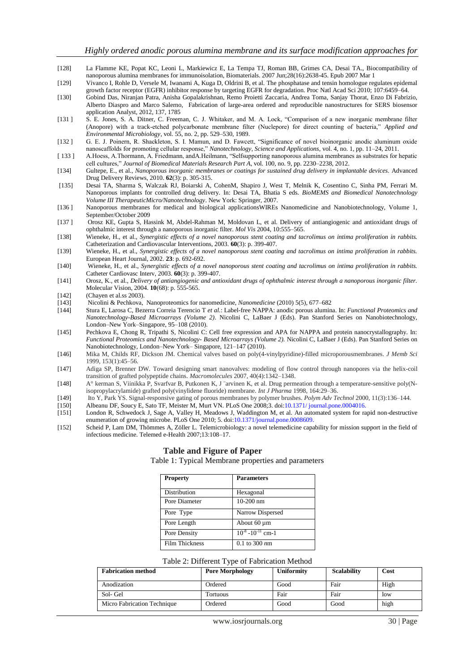- [128] [La Flamme KE,](http://www.ncbi.nlm.nih.gov/pubmed?term=La%20Flamme%20KE%5BAuthor%5D&cauthor=true&cauthor_uid=17335895) [Popat KC,](http://www.ncbi.nlm.nih.gov/pubmed?term=Popat%20KC%5BAuthor%5D&cauthor=true&cauthor_uid=17335895) [Leoni L,](http://www.ncbi.nlm.nih.gov/pubmed?term=Leoni%20L%5BAuthor%5D&cauthor=true&cauthor_uid=17335895) [Markiewicz E,](http://www.ncbi.nlm.nih.gov/pubmed?term=Markiewicz%20E%5BAuthor%5D&cauthor=true&cauthor_uid=17335895) [La Tempa TJ,](http://www.ncbi.nlm.nih.gov/pubmed?term=La%20Tempa%20TJ%5BAuthor%5D&cauthor=true&cauthor_uid=17335895) [Roman BB,](http://www.ncbi.nlm.nih.gov/pubmed?term=Roman%20BB%5BAuthor%5D&cauthor=true&cauthor_uid=17335895) [Grimes CA,](http://www.ncbi.nlm.nih.gov/pubmed?term=Grimes%20CA%5BAuthor%5D&cauthor=true&cauthor_uid=17335895) [Desai TA.](http://www.ncbi.nlm.nih.gov/pubmed?term=Desai%20TA%5BAuthor%5D&cauthor=true&cauthor_uid=17335895), Biocompatibility of nanoporous alumina membranes for immunoisolation[, Biomaterials.](http://www.ncbi.nlm.nih.gov/pubmed/17335895) 2007 Jun;28(16):2638-45. Epub 2007 Mar 1
- [129] Vivanco I, Rohle D, Versele M, Iwanami A, Kuga D, Oldrini B, et al. The phosphatase and tensin homologue regulates epidemal growth factor receptor (EGFR) inhibitor response by targeting EGFR for degradation. Proc Natl Acad Sci 2010; 107:6459–64.
- [130] Gobind Das, Niranjan Patra, Anisha Gopalakrishnan, Remo Proietti Zaccaria, Andrea Toma, Sanjay Thorat, Enzo Di Fabrizio, Alberto Diaspro and Marco Salerno, Fabrication of large-area ordered and reproducible nanostructures for SERS biosensor application Analyst, 2012, 137, 1785
- [131] S. E. Jones, S. A. Ditner, C. Freeman, C. J. Whitaker, and M. A. Lock, "Comparison of a new inorganic membrane filter (Anopore) with a track-etched polycarbonate membrane filter (Nuclepore) for direct counting of bacteria," *Applied and Environmental Microbiology*, vol. 55, no. 2, pp. 529–530, 1989.
- [132] G. E. J. Poinern, R. Shackleton, S. I. Mamun, and D. Fawcett, "Significance of novel bioinorganic anodic aluminum oxide nanoscaffolds for promoting cellular response," *Nanotechnology, Science and Applications*, vol. 4, no. 1, pp. 11-24, 2011.
- [ 133 ] A.Hoess, A.Thormann, A. Friedmann, and A.Heilmann, "Selfsupporting nanoporous alumina membranes as substrates for hepatic cell cultures,‖ *Journal of Biomedical Materials Research Part A*, vol. 100, no. 9, pp. 2230–2238, 2012.
- [134] Gultepe, E., et al., *Nanoporous inorganic membranes or coatings for sustained drug delivery in implantable devices.* Advanced Drug Delivery Reviews, 2010. **62**(3): p. 305-315.
- [135] Desai TA, Sharma S, Walczak RJ, Boiarski A, CohenM, Shapiro J, West T, Melnik K, Cosentino C, Sinha PM, Ferrari M. Nanoporous implants for controlled drug delivery. In: Desai TA, Bhatia S eds. *BioMEMS and Biomedical Nanotechnology Volume III TherapeuticMicro/Nanotechnology*. New York: Springer, 2007.
- [136 ] Nanoporous membranes for medical and biological applicationsWIREs Nanomedicine and Nanobiotechnology, Volume 1, September/October 2009
- [137 ] Orosz KE, Gupta S, Hassink M, Abdel-Rahman M, Moldovan L, et al. Delivery of antiangiogenic and antioxidant drugs of ophthalmic interest through a nanoporous inorganic filter. *Mol Vis* 2004, 10:555–565.
- [138] Wieneke, H., et al., *Synergistic effects of a novel nanoporous stent coating and tacrolimus on intima proliferation in rabbits.*  Catheterization and Cardiovascular Interventions, 2003. **60**(3): p. 399-407.
- [139] Wieneke, H., et al., *Synergistic effects of a novel nanoporous stent coating and tacrolimus on intima proliferation in rabbits.*  European Heart Journal, 2002. **23**: p. 692-692.
- [140] Wieneke, H., et al., *Synergistic effects of a novel nanoporous stent coating and tacrolimus on intima proliferation in rabbits.*  Catheter Cardiovasc Interv, 2003. **60**(3): p. 399-407.
- [141] Orosz, K., et al., *Delivery of antiangiogenic and antioxidant drugs of ophthalmic interest through a nanoporous inorganic filter.*  Molecular Vision, 2004. **10**(68): p. 555-565.
- [142] (Chayen et al.ss 2003).<br>[143] Nicolini & Pechkova.
- [143] Nicolini & Pechkova, Nanoproteomics for nanomedicine, *Nanomedicine* (2010) 5(5), 677–682
- [144] Stura E, Larosa C, Bezerra Correia Terencio T *et al.*: Label-free NAPPA: anodic porous alumina. In: *Functional Proteomics and Nanotechnology-Based Microarrays (Volume 2)*. Nicolini C, LaBaer J (Eds). Pan Stanford Series on Nanobiotechnology, London–New York–Singapore, 95–108 (2010).
- [145] Pechkova E, Chong R, Tripathi S, Nicolini C: Cell free expression and APA for NAPPA and protein nanocrystallography. In: *Functional Proteomics and Nanotechnology- Based Microarrays (Volume 2).* Nicolini C, LaBaer J (Eds). Pan Stanford Series on Nanobiotechnology, London–New York– Singapore, 121–147 (2010).
- [146] Mika M, Childs RF, Dickson JM. Chemical valves based on poly(4-vinylpyridine)-filled microporousmembranes. *J Memb Sci*  1999, 153(1):45–56.
- [147] Adiga SP, Brenner DW. Toward designing smart nanovalves: modeling of flow control through nanopores via the helix-coil transition of grafted polypeptide chains. *Macromolecules* 2007, 40(4):1342–1348.
- [148] A° kerman S, Viinikka P, Svarfvar B, Putkonen K, J ¨arvinen K, et al. Drug permeation through a temperature-sensitive poly(Nisopropylacrylamide) grafted poly(vinylidene fluoride) membrane. *Int J Pharma* 1998, 164:29–36.
- [149] Ito Y, Park YS. Signal-responsive gating of porous membranes by polymer brushes. *Polym Adv Technol* 2000, 11(3):136–144.
- [150] Albeanu DF, Soucy E, Sato TF, Meister M, Murt VN. PLoS One 2008;3. doi:10.1371/ journal.pone.0004016.
- [151] London R, Schwedock J, Sage A, Valley H, Meadows J, Waddington M, et al. An automated system for rapid non-destructive enumeration of growing microbe. PLoS One 2010; 5. doi:10.1371/journal.pone.0008609.
- [152] Scheid P, Lam DM, Thömmes A, Zöller L. Telemicrobiology: a novel telemedicine capability for mission support in the field of infectious medicine. Telemed e-Health 2007;13:108–17.

# **Table and Figure of Paper**

Table 1: Typical Membrane properties and parameters

| <b>Property</b>       | <b>Parameters</b>         |
|-----------------------|---------------------------|
| Distribution          | Hexagonal                 |
| Pore Diameter         | $10-200$ nm               |
| Pore Type             | Narrow Dispersed          |
| Pore Length           | About 60 µm               |
| Pore Density          | $10^{-8} - 10^{-11}$ cm-1 |
| <b>Film Thickness</b> | 0.1 to 300 $nm$           |

| <b>Fabrication method</b>   | <b>Pore Morphology</b> | <b>Uniformity</b> | <b>Scalability</b> | Cost |
|-----------------------------|------------------------|-------------------|--------------------|------|
| Anodization                 | Ordered                | Good              | Fair               | High |
| Sol- Gel                    | Tortuous               | Fair              | Fair               | low  |
| Micro Fabrication Technique | Ordered                | Good              | Good               | high |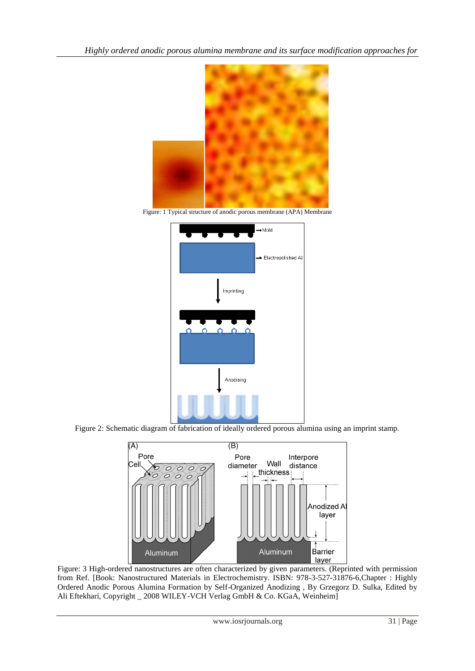*Highly ordered anodic porous alumina membrane and its surface modification approaches for*



Figure: 1 Typical structure of anodic porous membrane (APA) Membrane



Figure 2: Schematic diagram of fabrication of ideally ordered porous alumina using an imprint stamp.



Figure: 3 High-ordered nanostructures are often characterized by given parameters. (Reprinted with permission from Ref. [Book: Nanostructured Materials in Electrochemistry. ISBN: 978-3-527-31876-6,Chapter : Highly Ordered Anodic Porous Alumina Formation by Self-Organized Anodizing , By Grzegorz D. Sulka, Edited by Ali Eftekhari, Copyright \_ 2008 WILEY-VCH Verlag GmbH & Co. KGaA, Weinheim]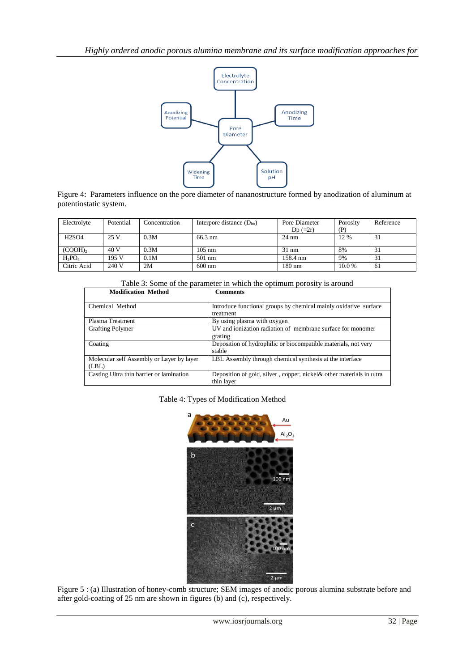

Figure 4: Parameters influence on the pore diameter of nananostructure formed by anodization of aluminum at potentiostatic system.

| Electrolyte | Potential | Concentration | Interpore distance $(D_{int})$ | Pore Diameter<br>$Dp (=2r)$ | Porosity<br>(P) | Reference |
|-------------|-----------|---------------|--------------------------------|-----------------------------|-----------------|-----------|
| H2SO4       | 25 V      | 0.3M          | $66.3 \text{ nm}$              | $24 \text{ nm}$             | 12 %            | 31        |
| $(COOH)_2$  | 40 V      | 0.3M          | $105 \text{ nm}$               | $31 \text{ nm}$             | 8%              | 31        |
| $H_3PO_4$   | 195 V     | 0.1M          | $501$ nm                       | 158.4 nm                    | 9%              | 31        |
| Citric Acid | 240 V     | 2M            | $600 \text{ nm}$               | $180 \text{ nm}$            | 10.0%           | -61       |

# Table 3: Some of the parameter in which the optimum porosity is around

| <b>Modification Method</b>                         | <b>Comments</b>                                                                     |
|----------------------------------------------------|-------------------------------------------------------------------------------------|
| Chemical Method                                    | Introduce functional groups by chemical mainly oxidative surface<br>treatment       |
| Plasma Treatment                                   | By using plasma with oxygen                                                         |
| <b>Grafting Polymer</b>                            | UV and ionization radiation of membrane surface for monomer<br>grating              |
| Coating                                            | Deposition of hydrophilic or biocompatible materials, not very<br>stable            |
| Molecular self Assembly or Layer by layer<br>(LBL) | LBL Assembly through chemical synthesis at the interface                            |
| Casting Ultra thin barrier or lamination           | Deposition of gold, silver, copper, nickel & other materials in ultra<br>thin layer |

#### Table 4: Types of Modification Method



Figure 5 : (a) Illustration of honey-comb structure; SEM images of anodic porous alumina substrate before and after gold-coating of 25 nm are shown in figures (b) and (c), respectively.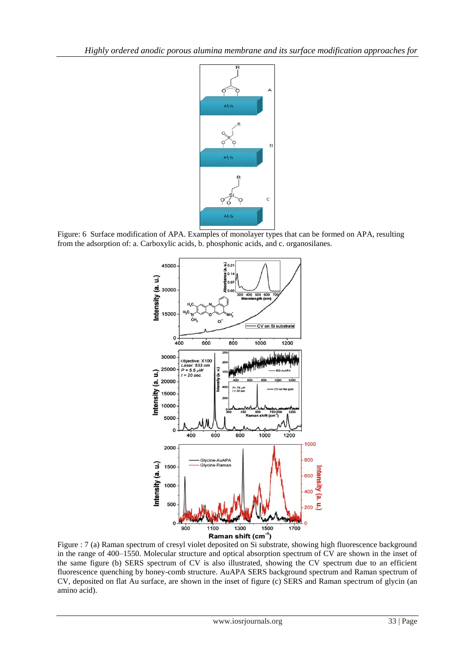

Figure: 6 Surface modification of APA. Examples of monolayer types that can be formed on APA, resulting from the adsorption of: a. Carboxylic acids, b. phosphonic acids, and c. organosilanes.



Figure : 7 (a) Raman spectrum of cresyl violet deposited on Si substrate, showing high fluorescence background in the range of 400–1550. Molecular structure and optical absorption spectrum of CV are shown in the inset of the same figure (b) SERS spectrum of CV is also illustrated, showing the CV spectrum due to an efficient fluorescence quenching by honey-comb structure. AuAPA SERS background spectrum and Raman spectrum of CV, deposited on flat Au surface, are shown in the inset of figure (c) SERS and Raman spectrum of glycin (an amino acid).